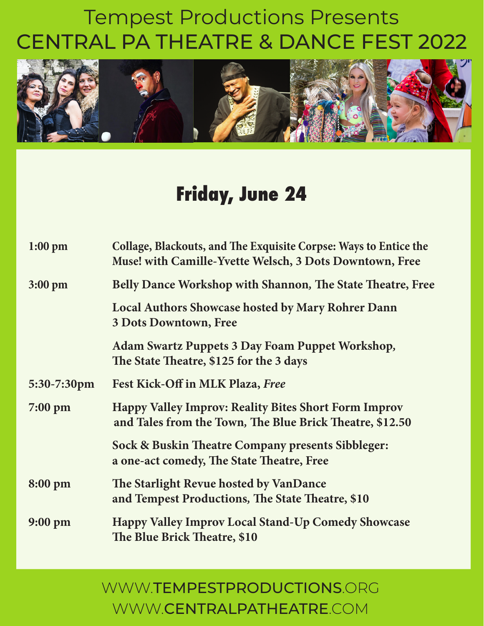

### **Friday, June 24**

| $1:00$ pm         | Collage, Blackouts, and The Exquisite Corpse: Ways to Entice the<br>Muse! with Camille-Yvette Welsch, 3 Dots Downtown, Free |
|-------------------|-----------------------------------------------------------------------------------------------------------------------------|
| $3:00 \text{ pm}$ | <b>Belly Dance Workshop with Shannon, The State Theatre, Free</b>                                                           |
|                   | <b>Local Authors Showcase hosted by Mary Rohrer Dann</b><br><b>3 Dots Downtown, Free</b>                                    |
|                   | <b>Adam Swartz Puppets 3 Day Foam Puppet Workshop,</b><br>The State Theatre, \$125 for the 3 days                           |
| 5:30-7:30pm       | Fest Kick-Off in MLK Plaza, Free                                                                                            |
| $7:00 \text{ pm}$ | <b>Happy Valley Improv: Reality Bites Short Form Improv</b><br>and Tales from the Town, The Blue Brick Theatre, \$12.50     |
|                   | Sock & Buskin Theatre Company presents Sibbleger:<br>a one-act comedy, The State Theatre, Free                              |
| 8:00 pm           | The Starlight Revue hosted by VanDance<br>and Tempest Productions, The State Theatre, \$10                                  |
| $9:00 \text{ pm}$ | <b>Happy Valley Improv Local Stand-Up Comedy Showcase</b><br>The Blue Brick Theatre, \$10                                   |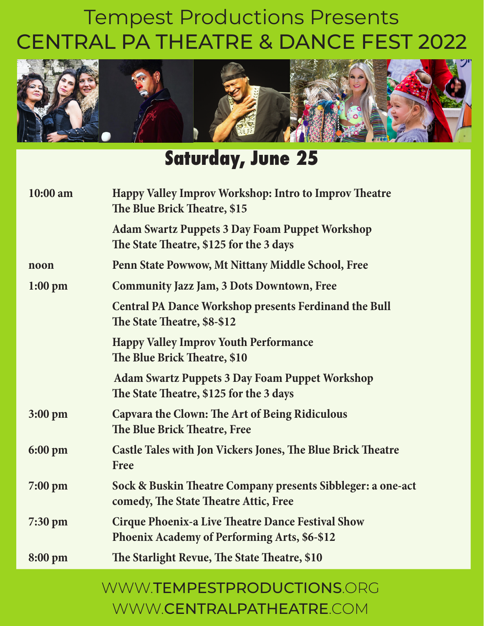

### **Saturday, June 25**

| 10:00 am          | Happy Valley Improv Workshop: Intro to Improv Theatre<br>The Blue Brick Theatre, \$15                           |
|-------------------|-----------------------------------------------------------------------------------------------------------------|
|                   | <b>Adam Swartz Puppets 3 Day Foam Puppet Workshop</b><br>The State Theatre, \$125 for the 3 days                |
| noon              | Penn State Powwow, Mt Nittany Middle School, Free                                                               |
| $1:00$ pm         | <b>Community Jazz Jam, 3 Dots Downtown, Free</b>                                                                |
|                   | <b>Central PA Dance Workshop presents Ferdinand the Bull</b><br>The State Theatre, \$8-\$12                     |
|                   | <b>Happy Valley Improv Youth Performance</b><br>The Blue Brick Theatre, \$10                                    |
|                   | <b>Adam Swartz Puppets 3 Day Foam Puppet Workshop</b><br>The State Theatre, \$125 for the 3 days                |
| 3:00 pm           | <b>Capvara the Clown: The Art of Being Ridiculous</b><br>The Blue Brick Theatre, Free                           |
| 6:00 pm           | <b>Castle Tales with Jon Vickers Jones, The Blue Brick Theatre</b><br>Free                                      |
| $7:00 \text{ pm}$ | Sock & Buskin Theatre Company presents Sibbleger: a one-act<br>comedy, The State Theatre Attic, Free            |
| $7:30 \text{ pm}$ | <b>Cirque Phoenix-a Live Theatre Dance Festival Show</b><br><b>Phoenix Academy of Performing Arts, \$6-\$12</b> |
| 8:00 pm           | The Starlight Revue, The State Theatre, \$10                                                                    |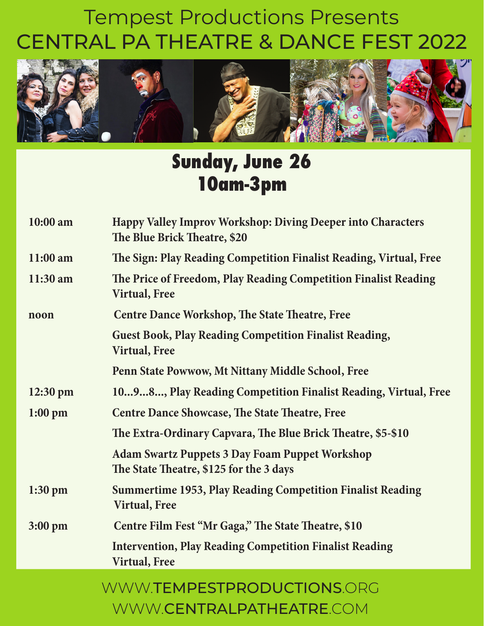

### **Sunday, June 26 10am-3pm**

| 10:00 am           | <b>Happy Valley Improv Workshop: Diving Deeper into Characters</b><br>The Blue Brick Theatre, \$20 |
|--------------------|----------------------------------------------------------------------------------------------------|
| $11:00$ am         | The Sign: Play Reading Competition Finalist Reading, Virtual, Free                                 |
| $11:30$ am         | The Price of Freedom, Play Reading Competition Finalist Reading<br><b>Virtual, Free</b>            |
| noon               | <b>Centre Dance Workshop, The State Theatre, Free</b>                                              |
|                    | <b>Guest Book, Play Reading Competition Finalist Reading,</b><br><b>Virtual, Free</b>              |
|                    | Penn State Powwow, Mt Nittany Middle School, Free                                                  |
| $12:30 \text{ pm}$ | 1098, Play Reading Competition Finalist Reading, Virtual, Free                                     |
| $1:00$ pm          | <b>Centre Dance Showcase, The State Theatre, Free</b>                                              |
|                    | The Extra-Ordinary Capvara, The Blue Brick Theatre, \$5-\$10                                       |
|                    | <b>Adam Swartz Puppets 3 Day Foam Puppet Workshop</b><br>The State Theatre, \$125 for the 3 days   |
| $1:30$ pm          | <b>Summertime 1953, Play Reading Competition Finalist Reading</b><br><b>Virtual, Free</b>          |
| $3:00$ pm          | Centre Film Fest "Mr Gaga," The State Theatre, \$10                                                |
|                    | <b>Intervention, Play Reading Competition Finalist Reading</b><br><b>Virtual, Free</b>             |
|                    |                                                                                                    |